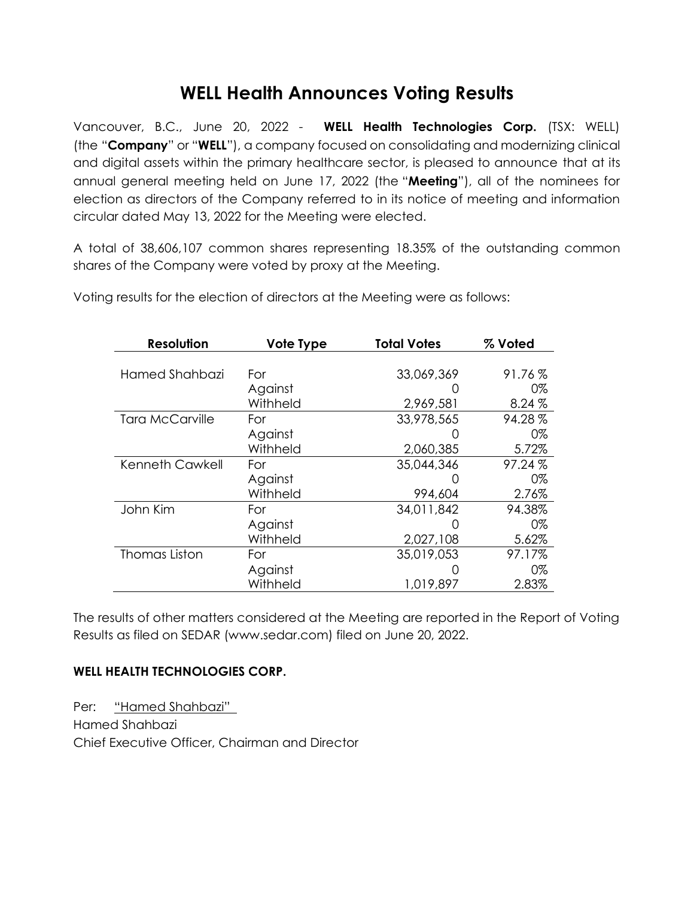## **WELL Health Announces Voting Results**

Vancouver, B.C., June 20, 2022 - **WELL Health Technologies Corp.** (TSX: WELL) (the "**Company**" or "**WELL**"), a company focused on consolidating and modernizing clinical and digital assets within the primary healthcare sector, is pleased to announce that at its annual general meeting held on June 17, 2022 (the "**Meeting**"), all of the nominees for election as directors of the Company referred to in its notice of meeting and information circular dated May 13, 2022 for the Meeting were elected.

A total of 38,606,107 common shares representing 18.35% of the outstanding common shares of the Company were voted by proxy at the Meeting.

| <b>Resolution</b>      | Vote Type | <b>Total Votes</b> | % Voted |
|------------------------|-----------|--------------------|---------|
|                        |           |                    |         |
| Hamed Shahbazi         | For       | 33,069,369         | 91.76%  |
|                        | Against   |                    | 0%      |
|                        | Withheld  | 2,969,581          | 8.24%   |
| <b>Tara McCarville</b> | For       | 33,978,565         | 94.28%  |
|                        | Against   |                    | 0%      |
|                        | Withheld  | 2,060,385          | 5.72%   |
| Kenneth Cawkell        | For       | 35,044,346         | 97.24%  |
|                        | Against   |                    | 0%      |
|                        | Withheld  | 994,604            | 2.76%   |
| John Kim               | For       | 34,011,842         | 94.38%  |
|                        | Against   |                    | 0%      |
|                        | Withheld  | 2,027,108          | 5.62%   |
| <b>Thomas Liston</b>   | For       | 35,019,053         | 97.17%  |
|                        | Against   |                    | 0%      |
|                        | Withheld  | 1,019,897          | 2.83%   |

Voting results for the election of directors at the Meeting were as follows:

The results of other matters considered at the Meeting are reported in the Report of Voting Results as filed on SEDAR (www.sedar.com) filed on June 20, 2022.

## **WELL HEALTH TECHNOLOGIES CORP.**

Per: "Hamed Shahbazi" Hamed Shahbazi Chief Executive Officer, Chairman and Director